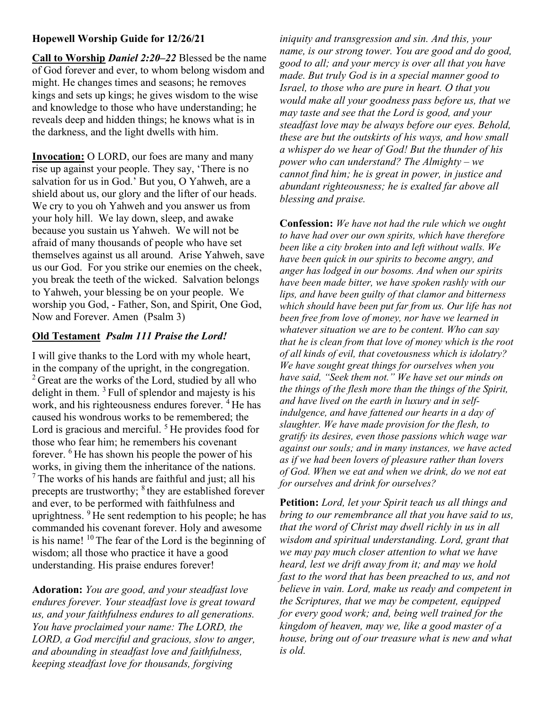## Hopewell Worship Guide for 12/26/21

Call to Worship Daniel 2:20–22 Blessed be the name of God forever and ever, to whom belong wisdom and might. He changes times and seasons; he removes kings and sets up kings; he gives wisdom to the wise and knowledge to those who have understanding; he reveals deep and hidden things; he knows what is in the darkness, and the light dwells with him.

Invocation: O LORD, our foes are many and many rise up against your people. They say, 'There is no salvation for us in God.' But you, O Yahweh, are a shield about us, our glory and the lifter of our heads. We cry to you oh Yahweh and you answer us from your holy hill. We lay down, sleep, and awake because you sustain us Yahweh. We will not be afraid of many thousands of people who have set themselves against us all around. Arise Yahweh, save us our God. For you strike our enemies on the cheek, you break the teeth of the wicked. Salvation belongs to Yahweh, your blessing be on your people. We worship you God, - Father, Son, and Spirit, One God, Now and Forever. Amen (Psalm 3)

## Old Testament Psalm 111 Praise the Lord!

I will give thanks to the Lord with my whole heart, in the company of the upright, in the congregation.  $2$  Great are the works of the Lord, studied by all who delight in them.  $3$  Full of splendor and majesty is his work, and his righteousness endures forever. <sup>4</sup> He has caused his wondrous works to be remembered; the Lord is gracious and merciful.  $5$  He provides food for those who fear him; he remembers his covenant forever. <sup>6</sup>He has shown his people the power of his works, in giving them the inheritance of the nations.  $7$ The works of his hands are faithful and just; all his precepts are trustworthy;  $8$  they are established forever and ever, to be performed with faithfulness and uprightness. <sup>9</sup>He sent redemption to his people; he has commanded his covenant forever. Holy and awesome is his name!  $10$  The fear of the Lord is the beginning of wisdom; all those who practice it have a good understanding. His praise endures forever!

Adoration: You are good, and your steadfast love endures forever. Your steadfast love is great toward us, and your faithfulness endures to all generations. You have proclaimed your name: The LORD, the LORD, a God merciful and gracious, slow to anger, and abounding in steadfast love and faithfulness, keeping steadfast love for thousands, forgiving

iniquity and transgression and sin. And this, your name, is our strong tower. You are good and do good, good to all; and your mercy is over all that you have made. But truly God is in a special manner good to Israel, to those who are pure in heart. O that you would make all your goodness pass before us, that we may taste and see that the Lord is good, and your steadfast love may be always before our eyes. Behold, these are but the outskirts of his ways, and how small a whisper do we hear of God! But the thunder of his power who can understand? The Almighty – we cannot find him; he is great in power, in justice and abundant righteousness; he is exalted far above all blessing and praise.

Confession: We have not had the rule which we ought to have had over our own spirits, which have therefore been like a city broken into and left without walls. We have been quick in our spirits to become angry, and anger has lodged in our bosoms. And when our spirits have been made bitter, we have spoken rashly with our lips, and have been guilty of that clamor and bitterness which should have been put far from us. Our life has not been free from love of money, nor have we learned in whatever situation we are to be content. Who can say that he is clean from that love of money which is the root of all kinds of evil, that covetousness which is idolatry? We have sought great things for ourselves when you have said, "Seek them not." We have set our minds on the things of the flesh more than the things of the Spirit, and have lived on the earth in luxury and in selfindulgence, and have fattened our hearts in a day of slaughter. We have made provision for the flesh, to gratify its desires, even those passions which wage war against our souls; and in many instances, we have acted as if we had been lovers of pleasure rather than lovers of God. When we eat and when we drink, do we not eat for ourselves and drink for ourselves?

Petition: Lord, let your Spirit teach us all things and bring to our remembrance all that you have said to us, that the word of Christ may dwell richly in us in all wisdom and spiritual understanding. Lord, grant that we may pay much closer attention to what we have heard, lest we drift away from it; and may we hold fast to the word that has been preached to us, and not believe in vain. Lord, make us ready and competent in the Scriptures, that we may be competent, equipped for every good work; and, being well trained for the kingdom of heaven, may we, like a good master of a house, bring out of our treasure what is new and what is old.